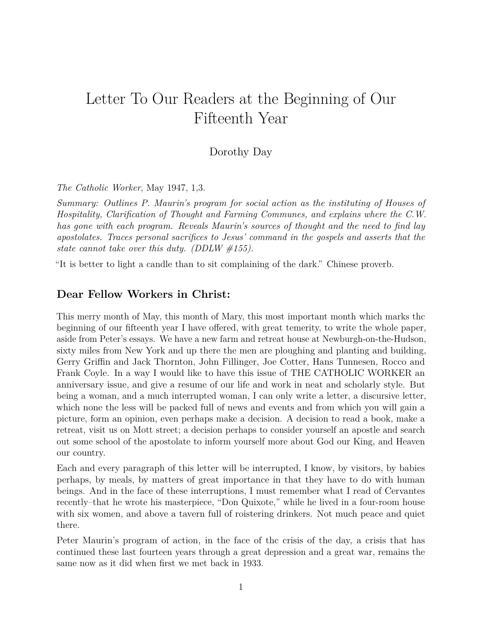# Letter To Our Readers at the Beginning of Our Fifteenth Year

#### Dorothy Day

*The Catholic Worker*, May 1947, 1,3.

*Summary: Outlines P. Maurin's program for social action as the instituting of Houses of Hospitality, Clarification of Thought and Farming Communes, and explains where the C.W. has gone with each program. Reveals Maurin's sources of thought and the need to find lay apostolates. Traces personal sacrifices to Jesus' command in the gospels and asserts that the state cannot take over this duty. (DDLW #155).*

"It is better to light a candle than to sit complaining of the dark." Chinese proverb.

#### **Dear Fellow Workers in Christ:**

This merry month of May, this month of Mary, this most important month which marks thc beginning of our fifteenth year I have offered, with great temerity, to write the whole paper, aside from Peter's essays. We have a new farm and retreat house at Newburgh-on-the-Hudson, sixty miles from New York and up there the men are ploughing and planting and building, Gerry Griffin and Jack Thornton, John Fillinger, Joe Cotter, Hans Tunnesen, Rocco and Frank Coyle. In a way I would like to have this issue of THE CATHOLIC WORKER an anniversary issue, and give a resume of our life and work in neat and scholarly style. But being a woman, and a much interrupted woman, I can only write a letter, a discursive letter, which none the less will be packed full of news and events and from which you will gain a picture, form an opinion, even perhaps make a decision. A decision to read a book, make a retreat, visit us on Mott street; a decision perhaps to consider yourself an apostle and search out some school of the apostolate to inform yourself more about God our King, and Heaven our country.

Each and every paragraph of this letter will be interrupted, I know, by visitors, by babies perhaps, by meals, by matters of great importance in that they have to do with human beings. And in the face of these interruptions, I must remember what I read of Cervantes recently–that he wrote his masterpiece, "Don Quixote," while he lived in a four-room house with six women, and above a tavern full of roistering drinkers. Not much peace and quiet there.

Peter Maurin's program of action, in the face of thc crisis of the day, a crisis that has continued these last fourteen years through a great depression and a great war, remains the same now as it did when first we met back in 1933.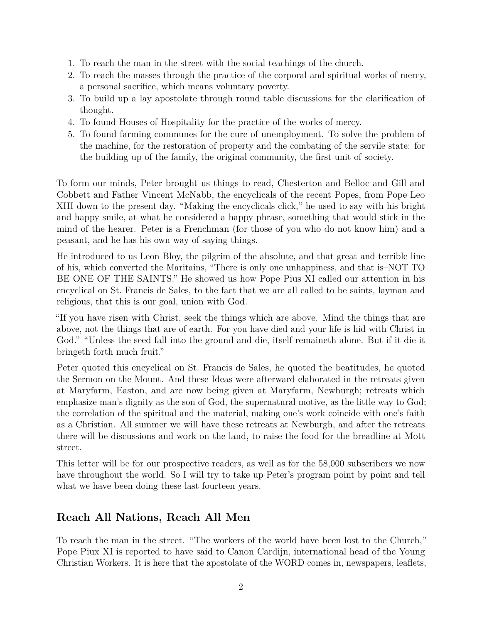- 1. To reach the man in the street with the social teachings of the church.
- 2. To reach the masses through the practice of the corporal and spiritual works of mercy, a personal sacrifice, which means voluntary poverty.
- 3. To build up a lay apostolate through round table discussions for the clarification of thought.
- 4. To found Houses of Hospitality for the practice of the works of mercy.
- 5. To found farming communes for the cure of unemployment. To solve the problem of the machine, for the restoration of property and the combating of the servile state: for the building up of the family, the original community, the first unit of society.

To form our minds, Peter brought us things to read, Chesterton and Belloc and Gill and Cobbett and Father Vincent McNabb, the encyclicals of the recent Popes, from Pope Leo XIII down to the present day. "Making the encyclicals click," he used to say with his bright and happy smile, at what he considered a happy phrase, something that would stick in the mind of the hearer. Peter is a Frenchman (for those of you who do not know him) and a peasant, and he has his own way of saying things.

He introduced to us Leon Bloy, the pilgrim of the absolute, and that great and terrible line of his, which converted the Maritains, "There is only one unhappiness, and that is–NOT TO BE ONE OF THE SAINTS." He showed us how Pope Pius XI called our attention in his encyclical on St. Francis de Sales, to the fact that we are all called to be saints, layman and religious, that this is our goal, union with God.

"If you have risen with Christ, seek the things which are above. Mind the things that are above, not the things that are of earth. For you have died and your life is hid with Christ in God." "Unless the seed fall into the ground and die, itself remaineth alone. But if it die it bringeth forth much fruit."

Peter quoted this encyclical on St. Francis de Sales, he quoted the beatitudes, he quoted the Sermon on the Mount. And these Ideas were afterward elaborated in the retreats given at Maryfarm, Easton, and are now being given at Maryfarm, Newburgh; retreats which emphasize man's dignity as the son of God, the supernatural motive, as the little way to God; the correlation of the spiritual and the material, making one's work coincide with one's faith as a Christian. All summer we will have these retreats at Newburgh, and after the retreats there will be discussions and work on the land, to raise the food for the breadline at Mott street.

This letter will be for our prospective readers, as well as for the 58,000 subscribers we now have throughout the world. So I will try to take up Peter's program point by point and tell what we have been doing these last fourteen years.

# **Reach All Nations, Reach All Men**

To reach the man in the street. "The workers of the world have been lost to the Church," Pope Piux XI is reported to have said to Canon Cardijn, international head of the Young Christian Workers. It is here that the apostolate of the WORD comes in, newspapers, leaflets,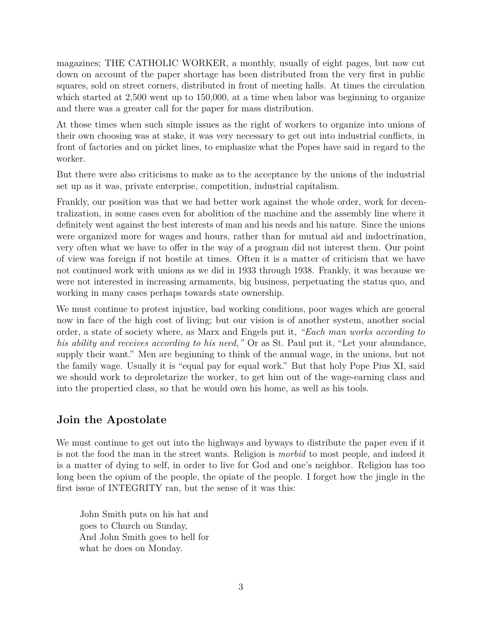magazines; THE CATHOLIC WORKER, a monthly, usually of eight pages, but now cut down on account of the paper shortage has been distributed from the very first in public squares, sold on street corners, distributed in front of meeting halls. At times the circulation which started at 2,500 went up to 150,000, at a time when labor was beginning to organize and there was a greater call for the paper for mass distribution.

At those times when such simple issues as the right of workers to organize into unions of their own choosing was at stake, it was very necessary to get out into industrial conflicts, in front of factories and on picket lines, to emphasize what the Popes have said in regard to the worker.

But there were also criticisms to make as to the acceptance by the unions of the industrial set up as it was, private enterprise, competition, industrial capitalism.

Frankly, our position was that we had better work against the whole order, work for decentralization, in some cases even for abolition of the machine and the assembly line where it definitely went against the best interests of man and his needs and his nature. Since the unions were organized more for wages and hours, rather than for mutual aid and indoctrination, very often what we have to offer in the way of a program did not interest them. Our point of view was foreign if not hostile at times. Often it is a matter of criticism that we have not continued work with unions as we did in 1933 through 1938. Frankly, it was because we were not interested in increasing armaments, big business, perpetuating the status quo, and working in many cases perhaps towards state ownership.

We must continue to protest injustice, bad working conditions, poor wages which are general now in face of the high cost of living; but our vision is of another system, another social order, a state of society where, as Marx and Engels put it, *"Each man works according to his ability and receives according to his need,"* Or as St. Paul put it, "Let your abundance, supply their want." Men are beginning to think of the annual wage, in the unions, but not the family wage. Usually it is "equal pay for equal work." But that holy Pope Pius XI, said we should work to deproletarize the worker, to get him out of the wage-earning class and into the propertied class, so that he would own his home, as well as his tools.

# **Join the Apostolate**

We must continue to get out into the highways and byways to distribute the paper even if it is not the food the man in the street wants. Religion is *morbid* to most people, and indeed it is a matter of dying to self, in order to live for God and one's neighbor. Religion has too long been the opium of the people, the opiate of the people. I forget how the jingle in the first issue of INTEGRITY ran, but the sense of it was this:

John Smith puts on his hat and goes to Church on Sunday, And John Smith goes to hell for what he does on Monday.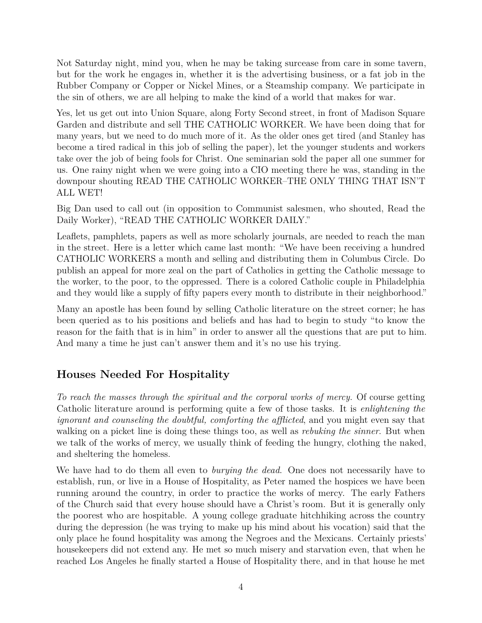Not Saturday night, mind you, when he may be taking surcease from care in some tavern, but for the work he engages in, whether it is the advertising business, or a fat job in the Rubber Company or Copper or Nickel Mines, or a Steamship company. We participate in the sin of others, we are all helping to make the kind of a world that makes for war.

Yes, let us get out into Union Square, along Forty Second street, in front of Madison Square Garden and distribute and sell THE CATHOLIC WORKER. We have been doing that for many years, but we need to do much more of it. As the older ones get tired (and Stanley has become a tired radical in this job of selling the paper), let the younger students and workers take over the job of being fools for Christ. One seminarian sold the paper all one summer for us. One rainy night when we were going into a CIO meeting there he was, standing in the downpour shouting READ THE CATHOLIC WORKER–THE ONLY THING THAT ISN'T ALL WET!

Big Dan used to call out (in opposition to Communist salesmen, who shouted, Read the Daily Worker), "READ THE CATHOLIC WORKER DAILY."

Leaflets, pamphlets, papers as well as more scholarly journals, are needed to reach the man in the street. Here is a letter which came last month: "We have been receiving a hundred CATHOLIC WORKERS a month and selling and distributing them in Columbus Circle. Do publish an appeal for more zeal on the part of Catholics in getting the Catholic message to the worker, to the poor, to the oppressed. There is a colored Catholic couple in Philadelphia and they would like a supply of fifty papers every month to distribute in their neighborhood."

Many an apostle has been found by selling Catholic literature on the street corner; he has been queried as to his positions and beliefs and has had to begin to study "to know the reason for the faith that is in him" in order to answer all the questions that are put to him. And many a time he just can't answer them and it's no use his trying.

# **Houses Needed For Hospitality**

*To reach the masses through the spiritual and the corporal works of mercy.* Of course getting Catholic literature around is performing quite a few of those tasks. It is *enlightening the ignorant and counseling the doubtful, comforting the afflicted*, and you might even say that walking on a picket line is doing these things too, as well as *rebuking the sinner*. But when we talk of the works of mercy, we usually think of feeding the hungry, clothing the naked, and sheltering the homeless.

We have had to do them all even to *burying the dead*. One does not necessarily have to establish, run, or live in a House of Hospitality, as Peter named the hospices we have been running around the country, in order to practice the works of mercy. The early Fathers of the Church said that every house should have a Christ's room. But it is generally only the poorest who are hospitable. A young college graduate hitchhiking across the country during the depression (he was trying to make up his mind about his vocation) said that the only place he found hospitality was among the Negroes and the Mexicans. Certainly priests' housekeepers did not extend any. He met so much misery and starvation even, that when he reached Los Angeles he finally started a House of Hospitality there, and in that house he met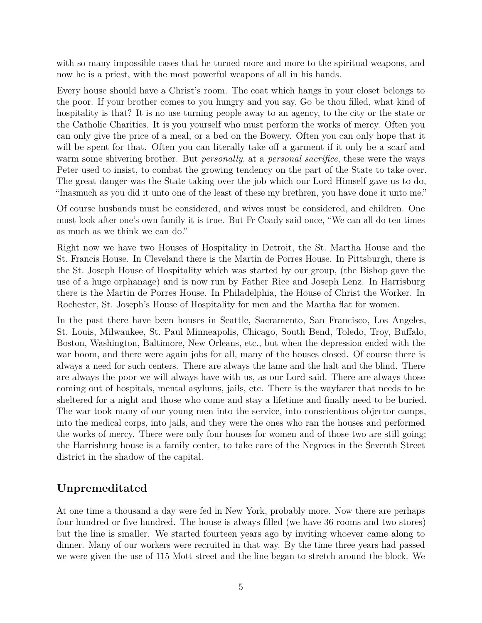with so many impossible cases that he turned more and more to the spiritual weapons, and now he is a priest, with the most powerful weapons of all in his hands.

Every house should have a Christ's room. The coat which hangs in your closet belongs to the poor. If your brother comes to you hungry and you say, Go be thou filled, what kind of hospitality is that? It is no use turning people away to an agency, to the city or the state or the Catholic Charities. It is you yourself who must perform the works of mercy. Often you can only give the price of a meal, or a bed on the Bowery. Often you can only hope that it will be spent for that. Often you can literally take off a garment if it only be a scarf and warm some shivering brother. But *personally*, at a *personal sacrifice*, these were the ways Peter used to insist, to combat the growing tendency on the part of the State to take over. The great danger was the State taking over the job which our Lord Himself gave us to do, "Inasmuch as you did it unto one of the least of these my brethren, you have done it unto me."

Of course husbands must be considered, and wives must be considered, and children. One must look after one's own family it is true. But Fr Coady said once, "We can all do ten times as much as we think we can do."

Right now we have two Houses of Hospitality in Detroit, the St. Martha House and the St. Francis House. In Cleveland there is the Martin de Porres House. In Pittsburgh, there is the St. Joseph House of Hospitality which was started by our group, (the Bishop gave the use of a huge orphanage) and is now run by Father Rice and Joseph Lenz. In Harrisburg there is the Martin de Porres House. In Philadelphia, the House of Christ the Worker. In Rochester, St. Joseph's House of Hospitality for men and the Martha flat for women.

In the past there have been houses in Seattle, Sacramento, San Francisco, Los Angeles, St. Louis, Milwaukee, St. Paul Minneapolis, Chicago, South Bend, Toledo, Troy, Buffalo, Boston, Washington, Baltimore, New Orleans, etc., but when the depression ended with the war boom, and there were again jobs for all, many of the houses closed. Of course there is always a need for such centers. There are always the lame and the halt and the blind. There are always the poor we will always have with us, as our Lord said. There are always those coming out of hospitals, mental asylums, jails, etc. There is the wayfarer that needs to be sheltered for a night and those who come and stay a lifetime and finally need to be buried. The war took many of our young men into the service, into conscientious objector camps, into the medical corps, into jails, and they were the ones who ran the houses and performed the works of mercy. There were only four houses for women and of those two are still going; the Harrisburg house is a family center, to take care of the Negroes in the Seventh Street district in the shadow of the capital.

# **Unpremeditated**

At one time a thousand a day were fed in New York, probably more. Now there are perhaps four hundred or five hundred. The house is always filled (we have 36 rooms and two stores) but the line is smaller. We started fourteen years ago by inviting whoever came along to dinner. Many of our workers were recruited in that way. By the time three years had passed we were given the use of 115 Mott street and the line began to stretch around the block. We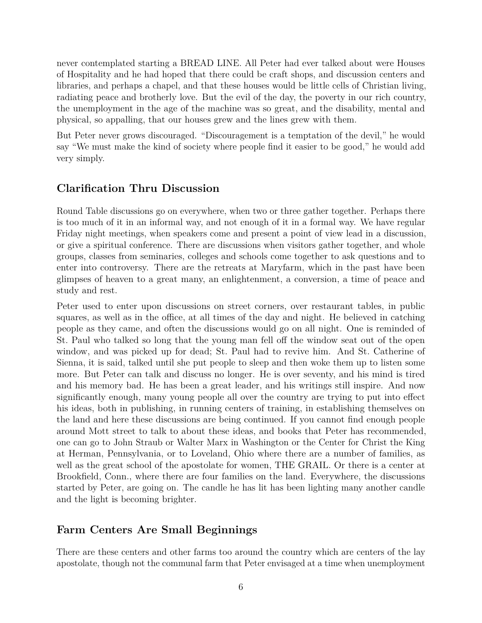never contemplated starting a BREAD LINE. All Peter had ever talked about were Houses of Hospitality and he had hoped that there could be craft shops, and discussion centers and libraries, and perhaps a chapel, and that these houses would be little cells of Christian living, radiating peace and brotherly love. But the evil of the day, the poverty in our rich country, the unemployment in the age of the machine was so great, and the disability, mental and physical, so appalling, that our houses grew and the lines grew with them.

But Peter never grows discouraged. "Discouragement is a temptation of the devil," he would say "We must make the kind of society where people find it easier to be good," he would add very simply.

### **Clarification Thru Discussion**

Round Table discussions go on everywhere, when two or three gather together. Perhaps there is too much of it in an informal way, and not enough of it in a formal way. We have regular Friday night meetings, when speakers come and present a point of view lead in a discussion, or give a spiritual conference. There are discussions when visitors gather together, and whole groups, classes from seminaries, colleges and schools come together to ask questions and to enter into controversy. There are the retreats at Maryfarm, which in the past have been glimpses of heaven to a great many, an enlightenment, a conversion, a time of peace and study and rest.

Peter used to enter upon discussions on street corners, over restaurant tables, in public squares, as well as in the office, at all times of the day and night. He believed in catching people as they came, and often the discussions would go on all night. One is reminded of St. Paul who talked so long that the young man fell off the window seat out of the open window, and was picked up for dead; St. Paul had to revive him. And St. Catherine of Sienna, it is said, talked until she put people to sleep and then woke them up to listen some more. But Peter can talk and discuss no longer. He is over seventy, and his mind is tired and his memory bad. He has been a great leader, and his writings still inspire. And now significantly enough, many young people all over the country are trying to put into effect his ideas, both in publishing, in running centers of training, in establishing themselves on the land and here these discussions are being continued. If you cannot find enough people around Mott street to talk to about these ideas, and books that Peter has recommended, one can go to John Straub or Walter Marx in Washington or the Center for Christ the King at Herman, Pennsylvania, or to Loveland, Ohio where there are a number of families, as well as the great school of the apostolate for women, THE GRAIL. Or there is a center at Brookfield, Conn., where there are four families on the land. Everywhere, the discussions started by Peter, are going on. The candle he has lit has been lighting many another candle and the light is becoming brighter.

# **Farm Centers Are Small Beginnings**

There are these centers and other farms too around the country which are centers of the lay apostolate, though not the communal farm that Peter envisaged at a time when unemployment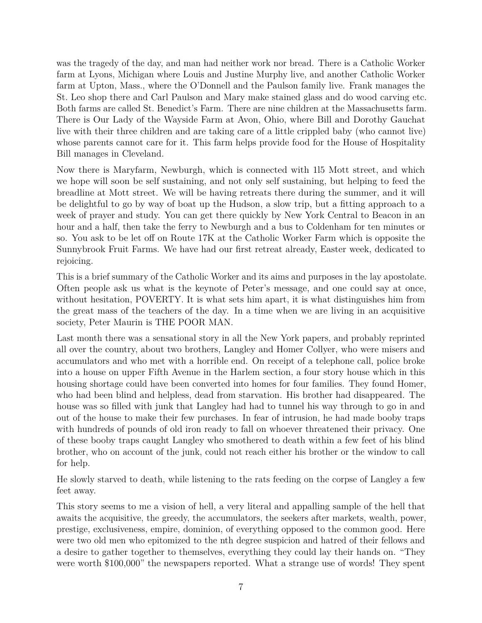was the tragedy of the day, and man had neither work nor bread. There is a Catholic Worker farm at Lyons, Michigan where Louis and Justine Murphy live, and another Catholic Worker farm at Upton, Mass., where the O'Donnell and the Paulson family live. Frank manages the St. Leo shop there and Carl Paulson and Mary make stained glass and do wood carving etc. Both farms are called St. Benedict's Farm. There are nine children at the Massachusetts farm. There is Our Lady of the Wayside Farm at Avon, Ohio, where Bill and Dorothy Gauchat live with their three children and are taking care of a little crippled baby (who cannot live) whose parents cannot care for it. This farm helps provide food for the House of Hospitality Bill manages in Cleveland.

Now there is Maryfarm, Newburgh, which is connected with 1l5 Mott street, and which we hope will soon be self sustaining, and not only self sustaining, but helping to feed the breadline at Mott street. We will be having retreats there during the summer, and it will be delightful to go by way of boat up the Hudson, a slow trip, but a fitting approach to a week of prayer and study. You can get there quickly by New York Central to Beacon in an hour and a half, then take the ferry to Newburgh and a bus to Coldenham for ten minutes or so. You ask to be let off on Route 17K at the Catholic Worker Farm which is opposite the Sunnybrook Fruit Farms. We have had our first retreat already, Easter week, dedicated to rejoicing.

This is a brief summary of the Catholic Worker and its aims and purposes in the lay apostolate. Often people ask us what is the keynote of Peter's message, and one could say at once, without hesitation, POVERTY. It is what sets him apart, it is what distinguishes him from the great mass of the teachers of the day. In a time when we are living in an acquisitive society, Peter Maurin is THE POOR MAN.

Last month there was a sensational story in all the New York papers, and probably reprinted all over the country, about two brothers, Langley and Homer Collyer, who were misers and accumulators and who met with a horrible end. On receipt of a telephone call, police broke into a house on upper Fifth Avenue in the Harlem section, a four story house which in this housing shortage could have been converted into homes for four families. They found Homer, who had been blind and helpless, dead from starvation. His brother had disappeared. The house was so filled with junk that Langley had had to tunnel his way through to go in and out of the house to make their few purchases. In fear of intrusion, he had made booby traps with hundreds of pounds of old iron ready to fall on whoever threatened their privacy. One of these booby traps caught Langley who smothered to death within a few feet of his blind brother, who on account of the junk, could not reach either his brother or the window to call for help.

He slowly starved to death, while listening to the rats feeding on the corpse of Langley a few feet away.

This story seems to me a vision of hell, a very literal and appalling sample of the hell that awaits the acquisitive, the greedy, the accumulators, the seekers after markets, wealth, power, prestige, exclusiveness, empire, dominion, of everything opposed to the common good. Here were two old men who epitomized to the nth degree suspicion and hatred of their fellows and a desire to gather together to themselves, everything they could lay their hands on. "They were worth \$100,000" the newspapers reported. What a strange use of words! They spent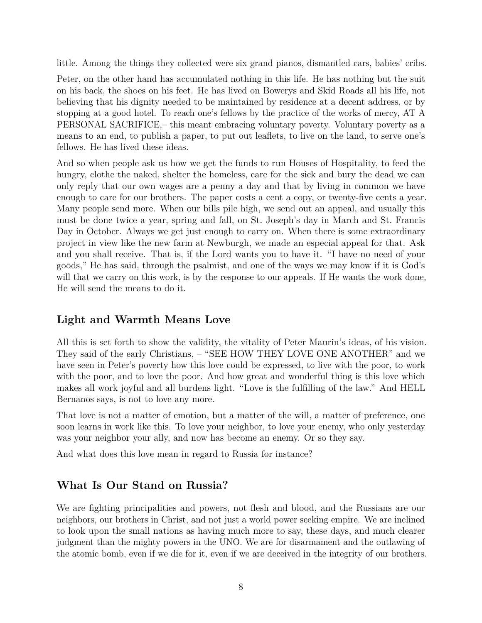little. Among the things they collected were six grand pianos, dismantled cars, babies' cribs.

Peter, on the other hand has accumulated nothing in this life. He has nothing but the suit on his back, the shoes on his feet. He has lived on Bowerys and Skid Roads all his life, not believing that his dignity needed to be maintained by residence at a decent address, or by stopping at a good hotel. To reach one's fellows by the practice of the works of mercy, AT A PERSONAL SACRIFICE,– this meant embracing voluntary poverty. Voluntary poverty as a means to an end, to publish a paper, to put out leaflets, to live on the land, to serve one's fellows. He has lived these ideas.

And so when people ask us how we get the funds to run Houses of Hospitality, to feed the hungry, clothe the naked, shelter the homeless, care for the sick and bury the dead we can only reply that our own wages are a penny a day and that by living in common we have enough to care for our brothers. The paper costs a cent a copy, or twenty-five cents a year. Many people send more. When our bills pile high, we send out an appeal, and usually this must be done twice a year, spring and fall, on St. Joseph's day in March and St. Francis Day in October. Always we get just enough to carry on. When there is some extraordinary project in view like the new farm at Newburgh, we made an especial appeal for that. Ask and you shall receive. That is, if the Lord wants you to have it. "I have no need of your goods," He has said, through the psalmist, and one of the ways we may know if it is God's will that we carry on this work, is by the response to our appeals. If He wants the work done, He will send the means to do it.

# **Light and Warmth Means Love**

All this is set forth to show the validity, the vitality of Peter Maurin's ideas, of his vision. They said of the early Christians, – "SEE HOW THEY LOVE ONE ANOTHER" and we have seen in Peter's poverty how this love could be expressed, to live with the poor, to work with the poor, and to love the poor. And how great and wonderful thing is this love which makes all work joyful and all burdens light. "Love is the fulfilling of the law." And HELL Bernanos says, is not to love any more.

That love is not a matter of emotion, but a matter of the will, a matter of preference, one soon learns in work like this. To love your neighbor, to love your enemy, who only yesterday was your neighbor your ally, and now has become an enemy. Or so they say.

And what does this love mean in regard to Russia for instance?

# **What Is Our Stand on Russia?**

We are fighting principalities and powers, not flesh and blood, and the Russians are our neighbors, our brothers in Christ, and not just a world power seeking empire. We are inclined to look upon the small nations as having much more to say, these days, and much clearer judgment than the mighty powers in the UNO. We are for disarmament and the outlawing of the atomic bomb, even if we die for it, even if we are deceived in the integrity of our brothers.